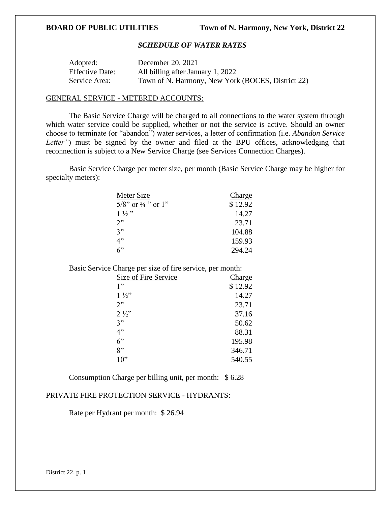# *SCHEDULE OF WATER RATES*

| Adopted:               | December 20, 2021                                 |
|------------------------|---------------------------------------------------|
| <b>Effective Date:</b> | All billing after January 1, 2022                 |
| Service Area:          | Town of N. Harmony, New York (BOCES, District 22) |

# GENERAL SERVICE - METERED ACCOUNTS:

The Basic Service Charge will be charged to all connections to the water system through which water service could be supplied, whether or not the service is active. Should an owner choose to terminate (or "abandon") water services, a letter of confirmation (i.e. *Abandon Service Letter*") must be signed by the owner and filed at the BPU offices, acknowledging that reconnection is subject to a New Service Charge (see Services Connection Charges).

Basic Service Charge per meter size, per month (Basic Service Charge may be higher for specialty meters):

| Meter Size                       | Charge  |
|----------------------------------|---------|
| $5/8$ " or $\frac{3}{4}$ " or 1" | \$12.92 |
| $1\frac{1}{2}$                   | 14.27   |
| 2"                               | 23.71   |
| 3"                               | 104.88  |
| 4"                               | 159.93  |
| ና"                               | 294.24  |

Basic Service Charge per size of fire service, per month:

| Size of Fire Service | Charge  |
|----------------------|---------|
| 1"                   | \$12.92 |
| $1\frac{1}{2}$       | 14.27   |
| 2"                   | 23.71   |
| $2\frac{1}{2}$       | 37.16   |
| 3"                   | 50.62   |
| 4"                   | 88.31   |
| 6"                   | 195.98  |
| 8"                   | 346.71  |
| 10"                  | 540.55  |
|                      |         |

Consumption Charge per billing unit, per month: \$ 6.28

# PRIVATE FIRE PROTECTION SERVICE - HYDRANTS:

Rate per Hydrant per month: \$ 26.94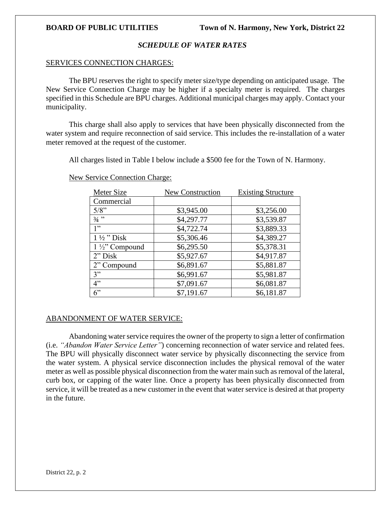# *SCHEDULE OF WATER RATES*

### SERVICES CONNECTION CHARGES:

The BPU reserves the right to specify meter size/type depending on anticipated usage. The New Service Connection Charge may be higher if a specialty meter is required. The charges specified in this Schedule are BPU charges. Additional municipal charges may apply. Contact your municipality.

This charge shall also apply to services that have been physically disconnected from the water system and require reconnection of said service. This includes the re-installation of a water meter removed at the request of the customer.

All charges listed in Table I below include a \$500 fee for the Town of N. Harmony.

| Meter Size                | <b>New Construction</b> | <b>Existing Structure</b> |
|---------------------------|-------------------------|---------------------------|
| Commercial                |                         |                           |
| 5/8"                      | \$3,945.00              | \$3,256.00                |
| $3/4$ "                   | \$4,297.77              | \$3,539.87                |
| 1"                        | \$4,722.74              | \$3,889.33                |
| $1\frac{1}{2}$ " Disk     | \$5,306.46              | \$4,389.27                |
| $1\frac{1}{2}$ " Compound | \$6,295.50              | \$5,378.31                |
| $2"$ Disk                 | \$5,927.67              | \$4,917.87                |
| 2" Compound               | \$6,891.67              | \$5,881.87                |
| 3"                        | \$6,991.67              | \$5,981.87                |
| 4"                        | \$7,091.67              | \$6,081.87                |
| 6"                        | \$7,191.67              | \$6,181.87                |

New Service Connection Charge:

# ABANDONMENT OF WATER SERVICE:

Abandoning water service requires the owner of the property to sign a letter of confirmation (i.e. *"Abandon Water Service Letter"*) concerning reconnection of water service and related fees. The BPU will physically disconnect water service by physically disconnecting the service from the water system. A physical service disconnection includes the physical removal of the water meter as well as possible physical disconnection from the water main such as removal of the lateral, curb box, or capping of the water line. Once a property has been physically disconnected from service, it will be treated as a new customer in the event that water service is desired at that property in the future.